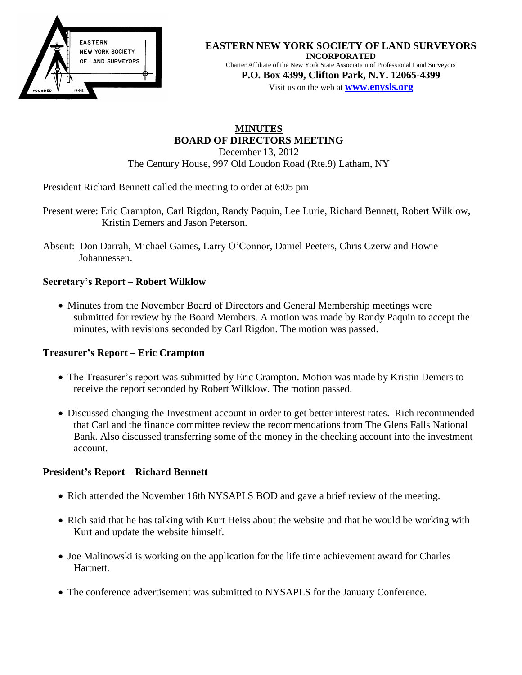

#### **EASTERN NEW YORK SOCIETY OF LAND SURVEYORS INCORPORATED** Charter Affiliate of the New York State Association of Professional Land Surveyors

**P.O. Box 4399, Clifton Park, N.Y. 12065-4399** Visit us on the web at **[www.e](http://www.enysls.org/)nysls.org**

#### **MINUTES BOARD OF DIRECTORS MEETING** December 13, 2012 The Century House, 997 Old Loudon Road (Rte.9) Latham, NY

President Richard Bennett called the meeting to order at 6:05 pm

- Present were: Eric Crampton, Carl Rigdon, Randy Paquin, Lee Lurie, Richard Bennett, Robert Wilklow, Kristin Demers and Jason Peterson.
- Absent: Don Darrah, Michael Gaines, Larry O'Connor, Daniel Peeters, Chris Czerw and Howie Johannessen.

### **Secretary's Report – Robert Wilklow**

• Minutes from the November Board of Directors and General Membership meetings were submitted for review by the Board Members. A motion was made by Randy Paquin to accept the minutes, with revisions seconded by Carl Rigdon. The motion was passed.

### **Treasurer's Report – Eric Crampton**

- The Treasurer's report was submitted by Eric Crampton. Motion was made by Kristin Demers to receive the report seconded by Robert Wilklow. The motion passed.
- Discussed changing the Investment account in order to get better interest rates. Rich recommended that Carl and the finance committee review the recommendations from The Glens Falls National Bank. Also discussed transferring some of the money in the checking account into the investment account.

### **President's Report – Richard Bennett**

- Rich attended the November 16th NYSAPLS BOD and gave a brief review of the meeting.
- Rich said that he has talking with Kurt Heiss about the website and that he would be working with Kurt and update the website himself.
- Joe Malinowski is working on the application for the life time achievement award for Charles Hartnett.
- The conference advertisement was submitted to NYSAPLS for the January Conference.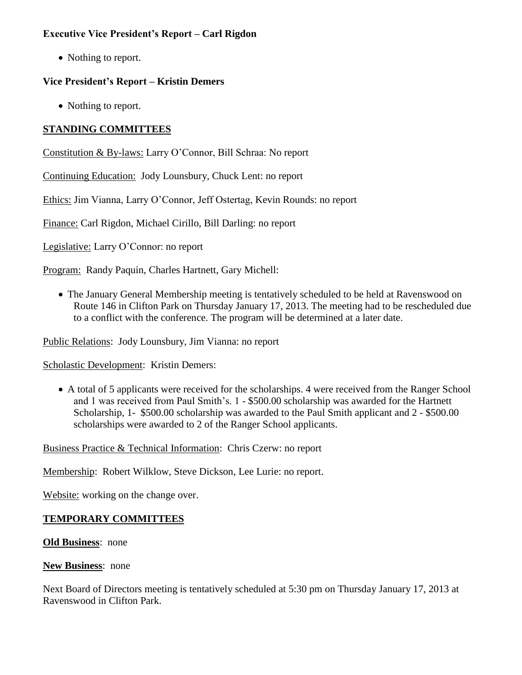### **Executive Vice President's Report – Carl Rigdon**

• Nothing to report.

### **Vice President's Report – Kristin Demers**

• Nothing to report.

# **STANDING COMMITTEES**

Constitution & By-laws: Larry O'Connor, Bill Schraa: No report

Continuing Education: Jody Lounsbury, Chuck Lent: no report

Ethics: Jim Vianna, Larry O'Connor, Jeff Ostertag, Kevin Rounds: no report

Finance: Carl Rigdon, Michael Cirillo, Bill Darling: no report

Legislative: Larry O'Connor: no report

Program: Randy Paquin, Charles Hartnett, Gary Michell:

• The January General Membership meeting is tentatively scheduled to be held at Ravenswood on Route 146 in Clifton Park on Thursday January 17, 2013. The meeting had to be rescheduled due to a conflict with the conference. The program will be determined at a later date.

Public Relations: Jody Lounsbury, Jim Vianna: no report

Scholastic Development: Kristin Demers:

 A total of 5 applicants were received for the scholarships. 4 were received from the Ranger School and 1 was received from Paul Smith's. 1 - \$500.00 scholarship was awarded for the Hartnett Scholarship, 1- \$500.00 scholarship was awarded to the Paul Smith applicant and 2 - \$500.00 scholarships were awarded to 2 of the Ranger School applicants.

Business Practice & Technical Information: Chris Czerw: no report

Membership: Robert Wilklow, Steve Dickson, Lee Lurie: no report.

Website: working on the change over.

# **TEMPORARY COMMITTEES**

**Old Business**: none

**New Business**: none

Next Board of Directors meeting is tentatively scheduled at 5:30 pm on Thursday January 17, 2013 at Ravenswood in Clifton Park.